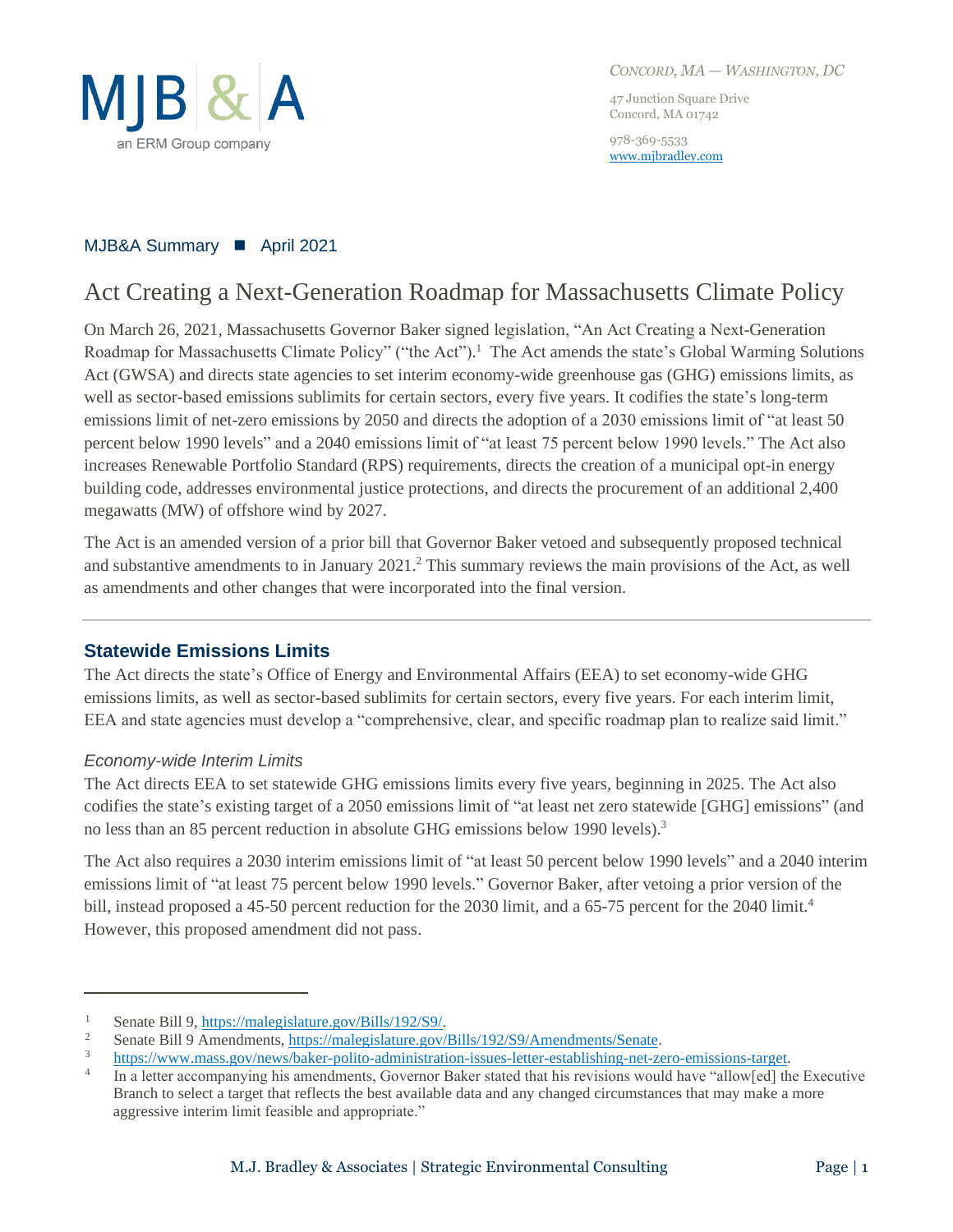

*CONCORD, MA — WASHINGTON, DC*

47 Junction Square Drive Concord, MA 01742

978-369-5533 [www.mjbradley.com](http://www.mjbradley.com/)

### MJB&A Summary ◼ April 2021

# Act Creating a Next-Generation Roadmap for Massachusetts Climate Policy

On March 26, 2021, Massachusetts Governor Baker signed legislation, "An Act Creating a Next-Generation Roadmap for Massachusetts Climate Policy" ("the Act").<sup>1</sup> The Act amends the state's Global Warming Solutions Act (GWSA) and directs state agencies to set interim economy-wide greenhouse gas (GHG) emissions limits, as well as sector-based emissions sublimits for certain sectors, every five years. It codifies the state's long-term emissions limit of net-zero emissions by 2050 and directs the adoption of a 2030 emissions limit of "at least 50 percent below 1990 levels" and a 2040 emissions limit of "at least 75 percent below 1990 levels." The Act also increases Renewable Portfolio Standard (RPS) requirements, directs the creation of a municipal opt-in energy building code, addresses environmental justice protections, and directs the procurement of an additional 2,400 megawatts (MW) of offshore wind by 2027.

The Act is an amended version of a prior bill that Governor Baker vetoed and subsequently proposed technical and substantive amendments to in January 2021. <sup>2</sup> This summary reviews the main provisions of the Act, as well as amendments and other changes that were incorporated into the final version.

### **Statewide Emissions Limits**

The Act directs the state's Office of Energy and Environmental Affairs (EEA) to set economy-wide GHG emissions limits, as well as sector-based sublimits for certain sectors, every five years. For each interim limit, EEA and state agencies must develop a "comprehensive, clear, and specific roadmap plan to realize said limit."

### *Economy-wide Interim Limits*

The Act directs EEA to set statewide GHG emissions limits every five years, beginning in 2025. The Act also codifies the state's existing target of a 2050 emissions limit of "at least net zero statewide [GHG] emissions" (and no less than an 85 percent reduction in absolute GHG emissions below 1990 levels).<sup>3</sup>

The Act also requires a 2030 interim emissions limit of "at least 50 percent below 1990 levels" and a 2040 interim emissions limit of "at least 75 percent below 1990 levels." Governor Baker, after vetoing a prior version of the bill, instead proposed a 45-50 percent reduction for the 2030 limit, and a 65-75 percent for the 2040 limit.<sup>4</sup> However, this proposed amendment did not pass.

<sup>1</sup> Senate Bill 9[, https://malegislature.gov/Bills/192/S9/.](https://malegislature.gov/Bills/192/S9/)

<sup>2</sup> Senate Bill 9 Amendments, [https://malegislature.gov/Bills/192/S9/Amendments/Senate.](https://malegislature.gov/Bills/192/S9/Amendments/Senate)

<sup>3</sup> [https://www.mass.gov/news/baker-polito-administration-issues-letter-establishing-net-zero-emissions-target.](https://www.mass.gov/news/baker-polito-administration-issues-letter-establishing-net-zero-emissions-target)

<sup>4</sup> In a letter accompanying his amendments, Governor Baker stated that his revisions would have "allow[ed] the Executive Branch to select a target that reflects the best available data and any changed circumstances that may make a more aggressive interim limit feasible and appropriate."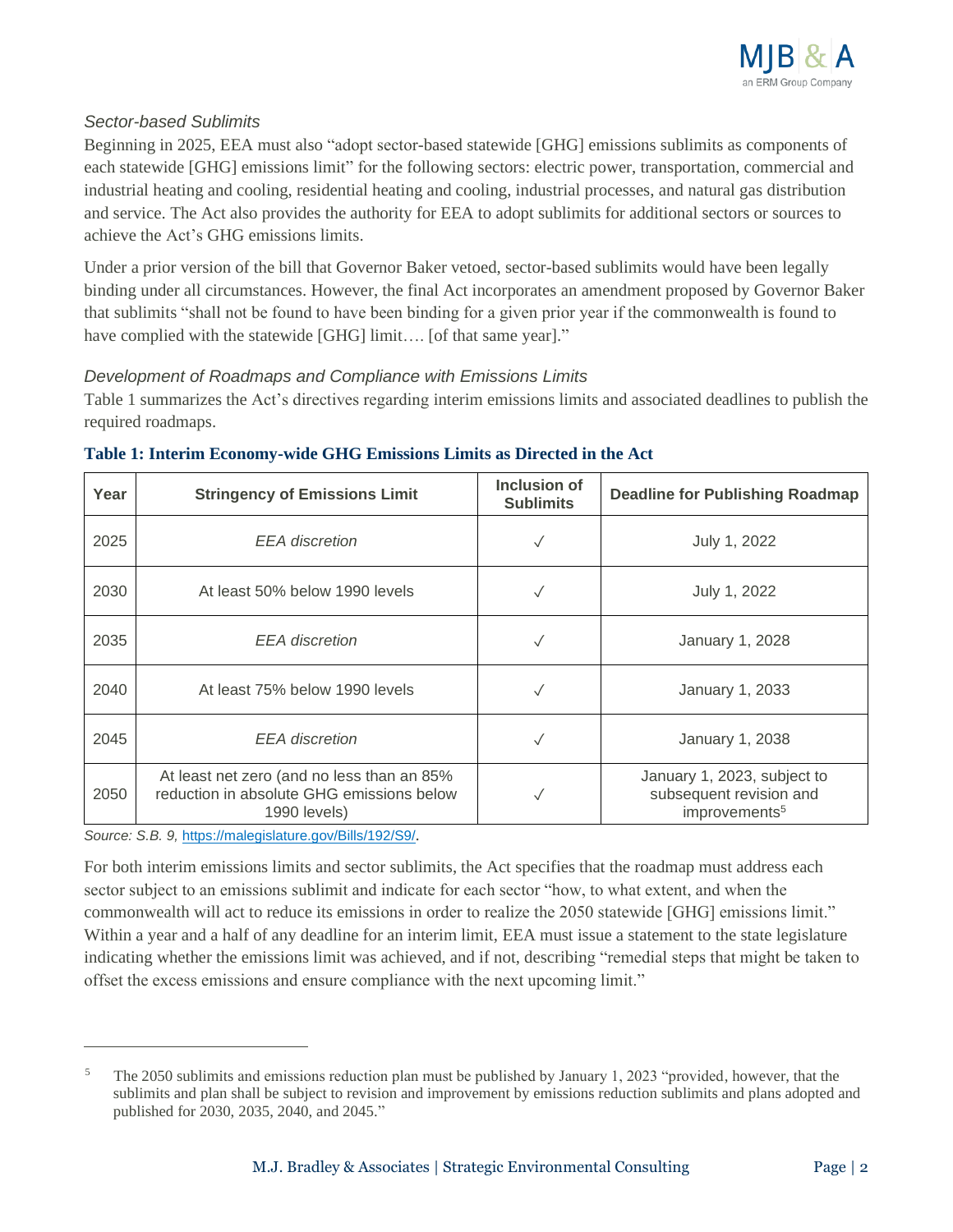

### *Sector-based Sublimits*

Beginning in 2025, EEA must also "adopt sector-based statewide [GHG] emissions sublimits as components of each statewide [GHG] emissions limit" for the following sectors: electric power, transportation, commercial and industrial heating and cooling, residential heating and cooling, industrial processes, and natural gas distribution and service. The Act also provides the authority for EEA to adopt sublimits for additional sectors or sources to achieve the Act's GHG emissions limits.

Under a prior version of the bill that Governor Baker vetoed, sector-based sublimits would have been legally binding under all circumstances. However, the final Act incorporates an amendment proposed by Governor Baker that sublimits "shall not be found to have been binding for a given prior year if the commonwealth is found to have complied with the statewide [GHG] limit.... [of that same year]."

### *Development of Roadmaps and Compliance with Emissions Limits*

Table 1 summarizes the Act's directives regarding interim emissions limits and associated deadlines to publish the required roadmaps.

| Year | <b>Stringency of Emissions Limit</b>                                                                    | <b>Inclusion of</b><br><b>Sublimits</b> | <b>Deadline for Publishing Roadmap</b>                                              |
|------|---------------------------------------------------------------------------------------------------------|-----------------------------------------|-------------------------------------------------------------------------------------|
| 2025 | <b>EEA</b> discretion                                                                                   | $\checkmark$                            | July 1, 2022                                                                        |
| 2030 | At least 50% below 1990 levels                                                                          |                                         | July 1, 2022                                                                        |
| 2035 | <b>EEA</b> discretion                                                                                   | $\checkmark$                            | January 1, 2028                                                                     |
| 2040 | At least 75% below 1990 levels                                                                          |                                         | January 1, 2033                                                                     |
| 2045 | <b>EEA</b> discretion                                                                                   | $\checkmark$                            | January 1, 2038                                                                     |
| 2050 | At least net zero (and no less than an 85%<br>reduction in absolute GHG emissions below<br>1990 levels) |                                         | January 1, 2023, subject to<br>subsequent revision and<br>improvements <sup>5</sup> |

### **Table 1: Interim Economy-wide GHG Emissions Limits as Directed in the Act**

*Source: S.B. 9,* <https://malegislature.gov/Bills/192/S9/>*.*

For both interim emissions limits and sector sublimits, the Act specifies that the roadmap must address each sector subject to an emissions sublimit and indicate for each sector "how, to what extent, and when the commonwealth will act to reduce its emissions in order to realize the 2050 statewide [GHG] emissions limit." Within a year and a half of any deadline for an interim limit, EEA must issue a statement to the state legislature indicating whether the emissions limit was achieved, and if not, describing "remedial steps that might be taken to offset the excess emissions and ensure compliance with the next upcoming limit."

<sup>5</sup> The 2050 sublimits and emissions reduction plan must be published by January 1, 2023 "provided, however, that the sublimits and plan shall be subject to revision and improvement by emissions reduction sublimits and plans adopted and published for 2030, 2035, 2040, and 2045."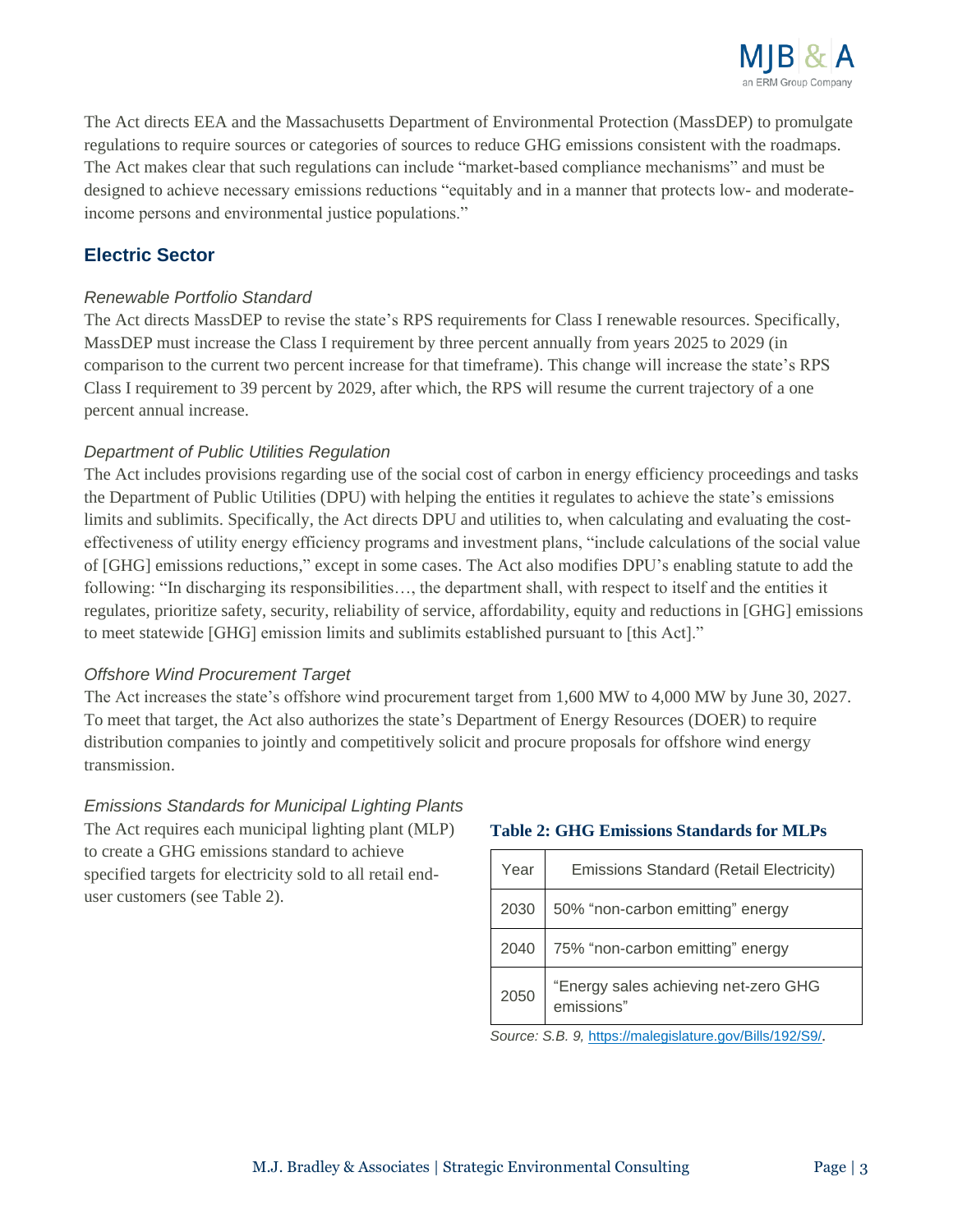

The Act directs EEA and the Massachusetts Department of Environmental Protection (MassDEP) to promulgate regulations to require sources or categories of sources to reduce GHG emissions consistent with the roadmaps. The Act makes clear that such regulations can include "market-based compliance mechanisms" and must be designed to achieve necessary emissions reductions "equitably and in a manner that protects low- and moderateincome persons and environmental justice populations."

# **Electric Sector**

#### *Renewable Portfolio Standard*

The Act directs MassDEP to revise the state's RPS requirements for Class I renewable resources. Specifically, MassDEP must increase the Class I requirement by three percent annually from years 2025 to 2029 (in comparison to the current two percent increase for that timeframe). This change will increase the state's RPS Class I requirement to 39 percent by 2029, after which, the RPS will resume the current trajectory of a one percent annual increase.

#### *Department of Public Utilities Regulation*

The Act includes provisions regarding use of the social cost of carbon in energy efficiency proceedings and tasks the Department of Public Utilities (DPU) with helping the entities it regulates to achieve the state's emissions limits and sublimits. Specifically, the Act directs DPU and utilities to, when calculating and evaluating the costeffectiveness of utility energy efficiency programs and investment plans, "include calculations of the social value of [GHG] emissions reductions," except in some cases. The Act also modifies DPU's enabling statute to add the following: "In discharging its responsibilities…, the department shall, with respect to itself and the entities it regulates, prioritize safety, security, reliability of service, affordability, equity and reductions in [GHG] emissions to meet statewide [GHG] emission limits and sublimits established pursuant to [this Act]."

#### *Offshore Wind Procurement Target*

The Act increases the state's offshore wind procurement target from 1,600 MW to 4,000 MW by June 30, 2027. To meet that target, the Act also authorizes the state's Department of Energy Resources (DOER) to require distribution companies to jointly and competitively solicit and procure proposals for offshore wind energy transmission.

### *Emissions Standards for Municipal Lighting Plants*

The Act requires each municipal lighting plant (MLP) to create a GHG emissions standard to achieve specified targets for electricity sold to all retail enduser customers (see Table 2).

#### **Table 2: GHG Emissions Standards for MLPs**

| Year | <b>Emissions Standard (Retail Electricity)</b>     |  |
|------|----------------------------------------------------|--|
| 2030 | 50% "non-carbon emitting" energy                   |  |
| 2040 | 75% "non-carbon emitting" energy                   |  |
| 2050 | "Energy sales achieving net-zero GHG<br>emissions" |  |

*Source: S.B. 9,* <https://malegislature.gov/Bills/192/S9/>*.*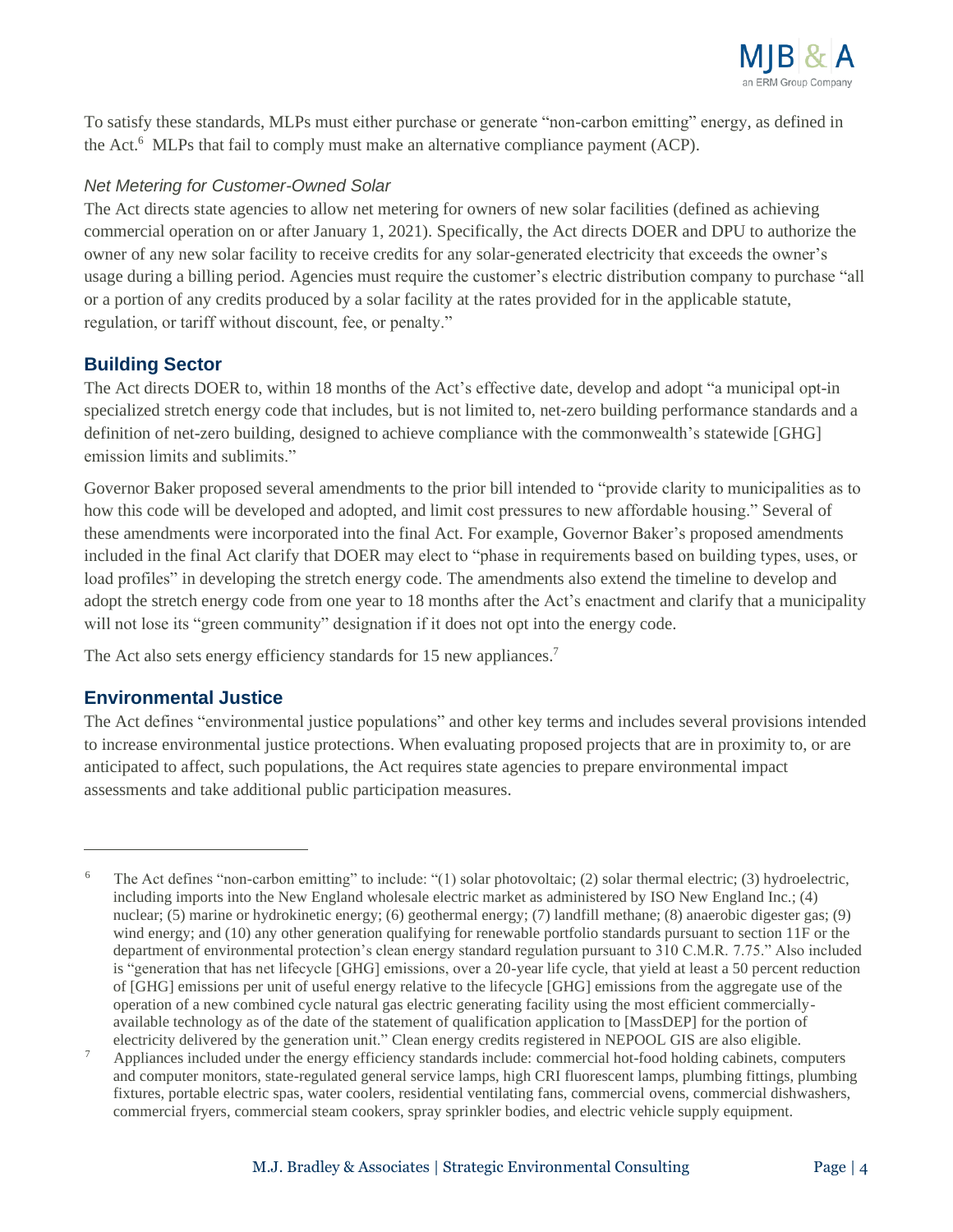

To satisfy these standards, MLPs must either purchase or generate "non-carbon emitting" energy, as defined in the Act. <sup>6</sup> MLPs that fail to comply must make an alternative compliance payment (ACP).

#### *Net Metering for Customer-Owned Solar*

The Act directs state agencies to allow net metering for owners of new solar facilities (defined as achieving commercial operation on or after January 1, 2021). Specifically, the Act directs DOER and DPU to authorize the owner of any new solar facility to receive credits for any solar-generated electricity that exceeds the owner's usage during a billing period. Agencies must require the customer's electric distribution company to purchase "all or a portion of any credits produced by a solar facility at the rates provided for in the applicable statute, regulation, or tariff without discount, fee, or penalty."

### **Building Sector**

The Act directs DOER to, within 18 months of the Act's effective date, develop and adopt "a municipal opt-in specialized stretch energy code that includes, but is not limited to, net-zero building performance standards and a definition of net-zero building, designed to achieve compliance with the commonwealth's statewide [GHG] emission limits and sublimits."

Governor Baker proposed several amendments to the prior bill intended to "provide clarity to municipalities as to how this code will be developed and adopted, and limit cost pressures to new affordable housing." Several of these amendments were incorporated into the final Act. For example, Governor Baker's proposed amendments included in the final Act clarify that DOER may elect to "phase in requirements based on building types, uses, or load profiles" in developing the stretch energy code. The amendments also extend the timeline to develop and adopt the stretch energy code from one year to 18 months after the Act's enactment and clarify that a municipality will not lose its "green community" designation if it does not opt into the energy code.

The Act also sets energy efficiency standards for 15 new appliances.<sup>7</sup>

### **Environmental Justice**

The Act defines "environmental justice populations" and other key terms and includes several provisions intended to increase environmental justice protections. When evaluating proposed projects that are in proximity to, or are anticipated to affect, such populations, the Act requires state agencies to prepare environmental impact assessments and take additional public participation measures.

<sup>6</sup> The Act defines "non-carbon emitting" to include: "(1) solar photovoltaic; (2) solar thermal electric; (3) hydroelectric, including imports into the New England wholesale electric market as administered by ISO New England Inc.; (4) nuclear; (5) marine or hydrokinetic energy; (6) geothermal energy; (7) landfill methane; (8) anaerobic digester gas; (9) wind energy; and (10) any other generation qualifying for renewable portfolio standards pursuant to section 11F or the department of environmental protection's clean energy standard regulation pursuant to 310 C.M.R. 7.75." Also included is "generation that has net lifecycle [GHG] emissions, over a 20-year life cycle, that yield at least a 50 percent reduction of [GHG] emissions per unit of useful energy relative to the lifecycle [GHG] emissions from the aggregate use of the operation of a new combined cycle natural gas electric generating facility using the most efficient commerciallyavailable technology as of the date of the statement of qualification application to [MassDEP] for the portion of electricity delivered by the generation unit." Clean energy credits registered in NEPOOL GIS are also eligible.

<sup>7</sup> Appliances included under the energy efficiency standards include: commercial hot-food holding cabinets, computers and computer monitors, state-regulated general service lamps, high CRI fluorescent lamps, plumbing fittings, plumbing fixtures, portable electric spas, water coolers, residential ventilating fans, commercial ovens, commercial dishwashers, commercial fryers, commercial steam cookers, spray sprinkler bodies, and electric vehicle supply equipment.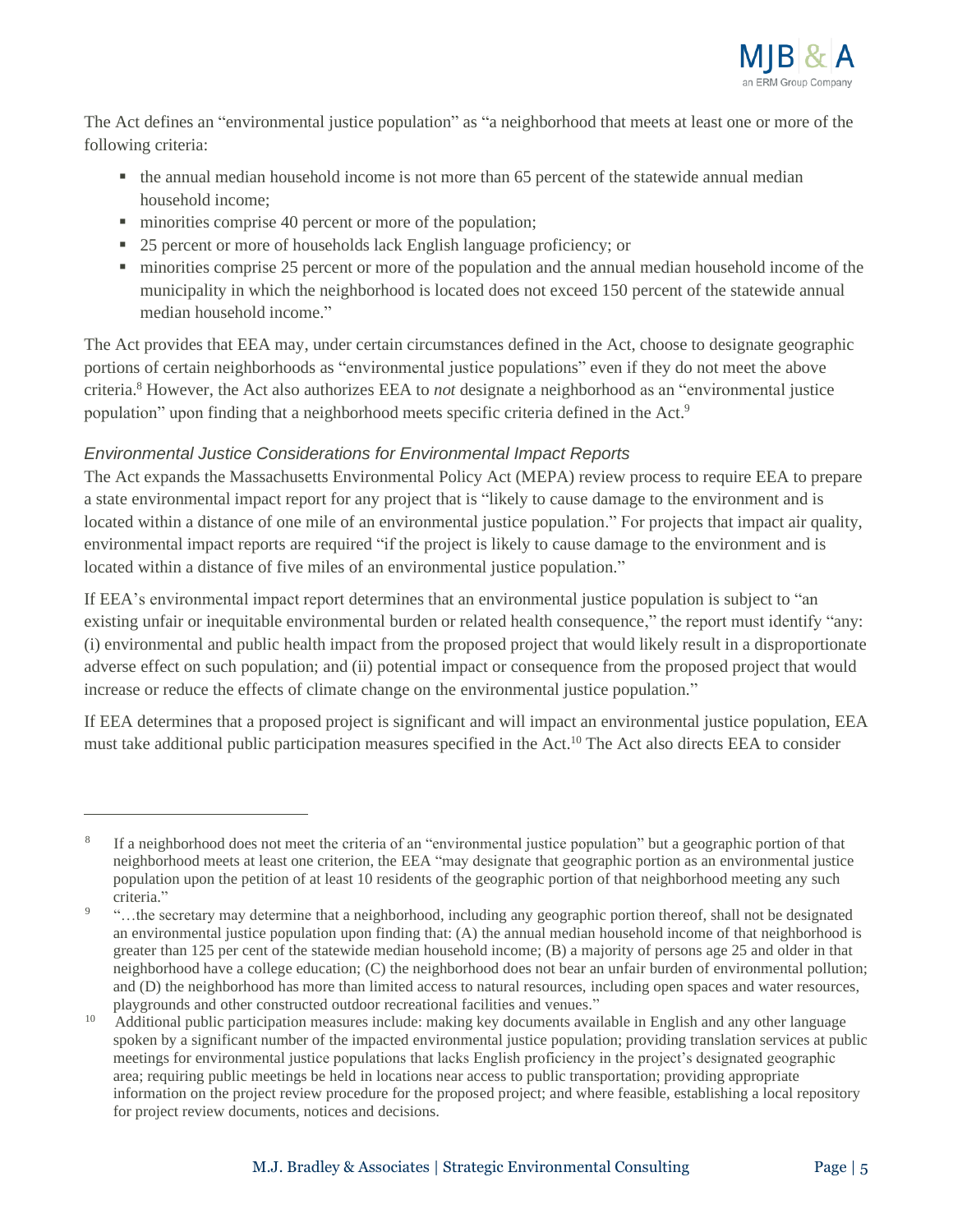

The Act defines an "environmental justice population" as "a neighborhood that meets at least one or more of the following criteria:

- the annual median household income is not more than 65 percent of the statewide annual median household income;
- minorities comprise 40 percent or more of the population;
- 25 percent or more of households lack English language proficiency; or
- minorities comprise 25 percent or more of the population and the annual median household income of the municipality in which the neighborhood is located does not exceed 150 percent of the statewide annual median household income."

The Act provides that EEA may, under certain circumstances defined in the Act, choose to designate geographic portions of certain neighborhoods as "environmental justice populations" even if they do not meet the above criteria. <sup>8</sup> However, the Act also authorizes EEA to *not* designate a neighborhood as an "environmental justice population" upon finding that a neighborhood meets specific criteria defined in the Act.<sup>9</sup>

### *Environmental Justice Considerations for Environmental Impact Reports*

The Act expands the Massachusetts Environmental Policy Act (MEPA) review process to require EEA to prepare a state environmental impact report for any project that is "likely to cause damage to the environment and is located within a distance of one mile of an environmental justice population." For projects that impact air quality, environmental impact reports are required "if the project is likely to cause damage to the environment and is located within a distance of five miles of an environmental justice population."

If EEA's environmental impact report determines that an environmental justice population is subject to "an existing unfair or inequitable environmental burden or related health consequence," the report must identify "any: (i) environmental and public health impact from the proposed project that would likely result in a disproportionate adverse effect on such population; and (ii) potential impact or consequence from the proposed project that would increase or reduce the effects of climate change on the environmental justice population."

If EEA determines that a proposed project is significant and will impact an environmental justice population, EEA must take additional public participation measures specified in the Act.<sup>10</sup> The Act also directs EEA to consider

<sup>8</sup> If a neighborhood does not meet the criteria of an "environmental justice population" but a geographic portion of that neighborhood meets at least one criterion, the EEA "may designate that geographic portion as an environmental justice population upon the petition of at least 10 residents of the geographic portion of that neighborhood meeting any such criteria."

<sup>9</sup> "…the secretary may determine that a neighborhood, including any geographic portion thereof, shall not be designated an environmental justice population upon finding that: (A) the annual median household income of that neighborhood is greater than 125 per cent of the statewide median household income; (B) a majority of persons age 25 and older in that neighborhood have a college education; (C) the neighborhood does not bear an unfair burden of environmental pollution; and (D) the neighborhood has more than limited access to natural resources, including open spaces and water resources, playgrounds and other constructed outdoor recreational facilities and venues."

<sup>10</sup> Additional public participation measures include: making key documents available in English and any other language spoken by a significant number of the impacted environmental justice population; providing translation services at public meetings for environmental justice populations that lacks English proficiency in the project's designated geographic area; requiring public meetings be held in locations near access to public transportation; providing appropriate information on the project review procedure for the proposed project; and where feasible, establishing a local repository for project review documents, notices and decisions.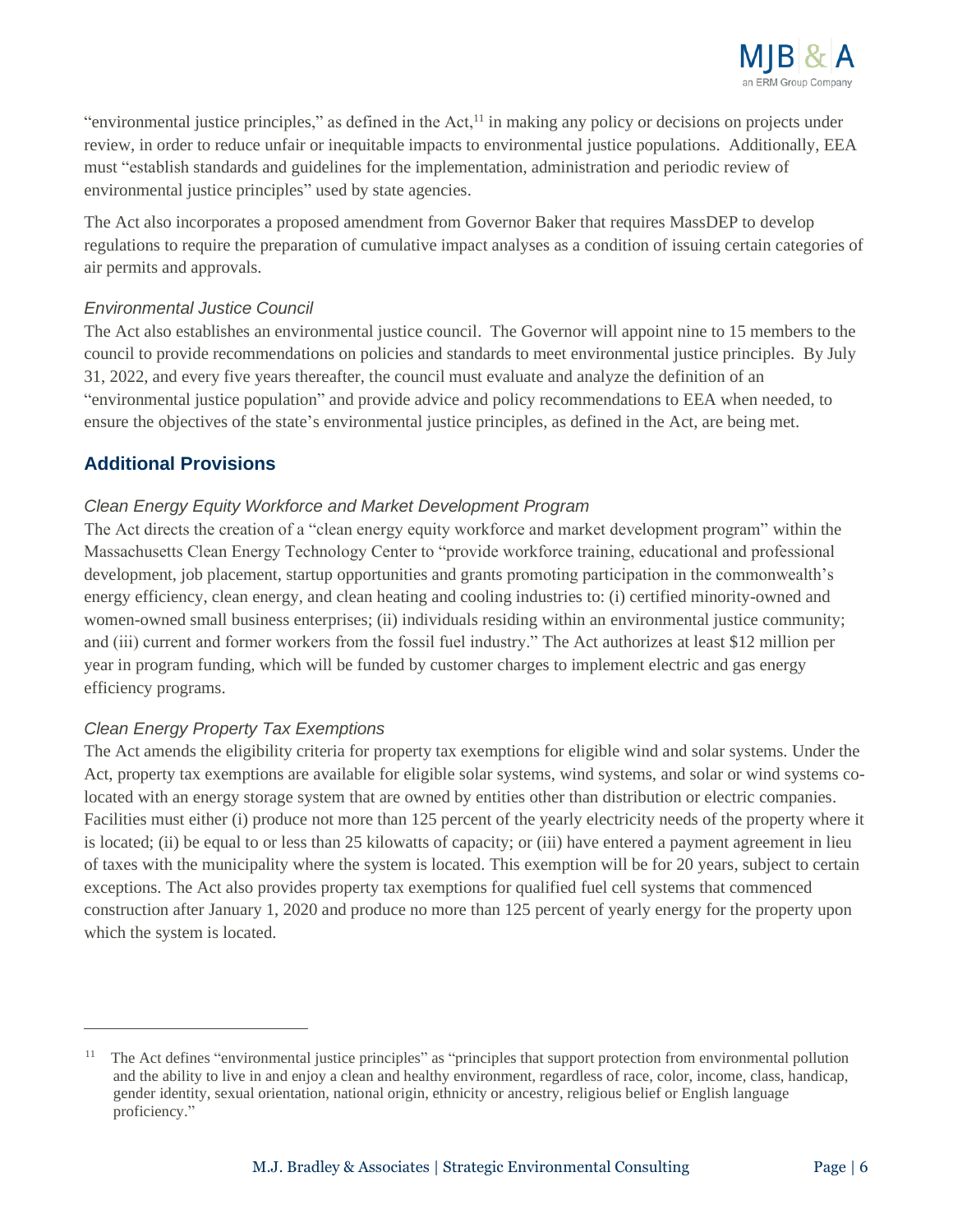

"environmental justice principles," as defined in the Act, $<sup>11</sup>$  in making any policy or decisions on projects under</sup> review, in order to reduce unfair or inequitable impacts to environmental justice populations. Additionally, EEA must "establish standards and guidelines for the implementation, administration and periodic review of environmental justice principles" used by state agencies.

The Act also incorporates a proposed amendment from Governor Baker that requires MassDEP to develop regulations to require the preparation of cumulative impact analyses as a condition of issuing certain categories of air permits and approvals.

#### *Environmental Justice Council*

The Act also establishes an environmental justice council. The Governor will appoint nine to 15 members to the council to provide recommendations on policies and standards to meet environmental justice principles. By July 31, 2022, and every five years thereafter, the council must evaluate and analyze the definition of an "environmental justice population" and provide advice and policy recommendations to EEA when needed, to ensure the objectives of the state's environmental justice principles, as defined in the Act, are being met.

# **Additional Provisions**

### *Clean Energy Equity Workforce and Market Development Program*

The Act directs the creation of a "clean energy equity workforce and market development program" within the Massachusetts Clean Energy Technology Center to "provide workforce training, educational and professional development, job placement, startup opportunities and grants promoting participation in the commonwealth's energy efficiency, clean energy, and clean heating and cooling industries to: (i) certified minority-owned and women-owned small business enterprises; (ii) individuals residing within an environmental justice community; and (iii) current and former workers from the fossil fuel industry." The Act authorizes at least \$12 million per year in program funding, which will be funded by customer charges to implement electric and gas energy efficiency programs.

### *Clean Energy Property Tax Exemptions*

The Act amends the eligibility criteria for property tax exemptions for eligible wind and solar systems. Under the Act, property tax exemptions are available for eligible solar systems, wind systems, and solar or wind systems colocated with an energy storage system that are owned by entities other than distribution or electric companies. Facilities must either (i) produce not more than 125 percent of the yearly electricity needs of the property where it is located; (ii) be equal to or less than 25 kilowatts of capacity; or (iii) have entered a payment agreement in lieu of taxes with the municipality where the system is located. This exemption will be for 20 years, subject to certain exceptions. The Act also provides property tax exemptions for qualified fuel cell systems that commenced construction after January 1, 2020 and produce no more than 125 percent of yearly energy for the property upon which the system is located.

<sup>&</sup>lt;sup>11</sup> The Act defines "environmental justice principles" as "principles that support protection from environmental pollution and the ability to live in and enjoy a clean and healthy environment, regardless of race, color, income, class, handicap, gender identity, sexual orientation, national origin, ethnicity or ancestry, religious belief or English language proficiency."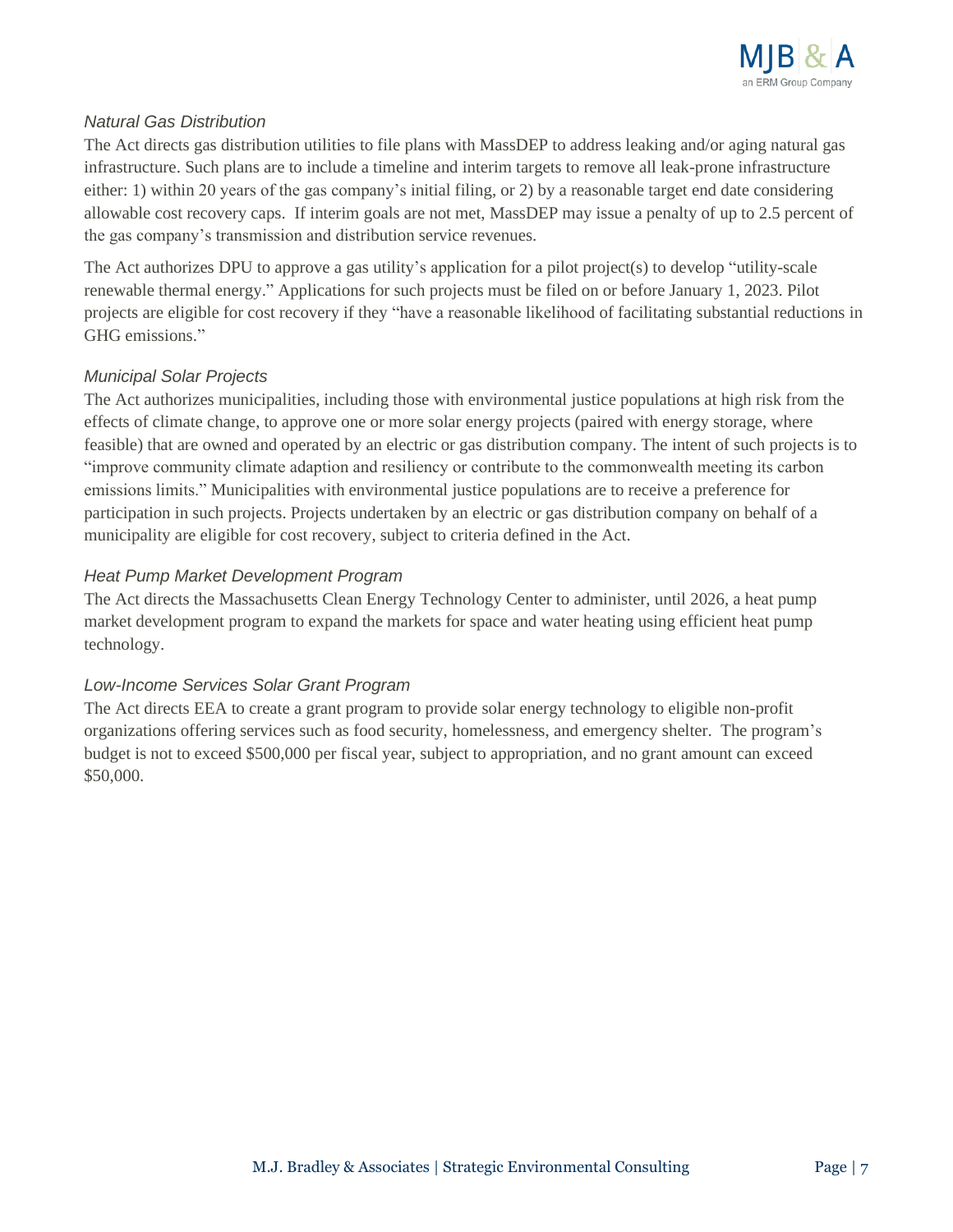

#### *Natural Gas Distribution*

The Act directs gas distribution utilities to file plans with MassDEP to address leaking and/or aging natural gas infrastructure. Such plans are to include a timeline and interim targets to remove all leak-prone infrastructure either: 1) within 20 years of the gas company's initial filing, or 2) by a reasonable target end date considering allowable cost recovery caps. If interim goals are not met, MassDEP may issue a penalty of up to 2.5 percent of the gas company's transmission and distribution service revenues.

The Act authorizes DPU to approve a gas utility's application for a pilot project(s) to develop "utility-scale renewable thermal energy." Applications for such projects must be filed on or before January 1, 2023. Pilot projects are eligible for cost recovery if they "have a reasonable likelihood of facilitating substantial reductions in GHG emissions."

#### *Municipal Solar Projects*

The Act authorizes municipalities, including those with environmental justice populations at high risk from the effects of climate change, to approve one or more solar energy projects (paired with energy storage, where feasible) that are owned and operated by an electric or gas distribution company. The intent of such projects is to "improve community climate adaption and resiliency or contribute to the commonwealth meeting its carbon emissions limits." Municipalities with environmental justice populations are to receive a preference for participation in such projects. Projects undertaken by an electric or gas distribution company on behalf of a municipality are eligible for cost recovery, subject to criteria defined in the Act.

#### *Heat Pump Market Development Program*

The Act directs the Massachusetts Clean Energy Technology Center to administer, until 2026, a heat pump market development program to expand the markets for space and water heating using efficient heat pump technology.

### *Low-Income Services Solar Grant Program*

The Act directs EEA to create a grant program to provide solar energy technology to eligible non-profit organizations offering services such as food security, homelessness, and emergency shelter. The program's budget is not to exceed \$500,000 per fiscal year, subject to appropriation, and no grant amount can exceed \$50,000.